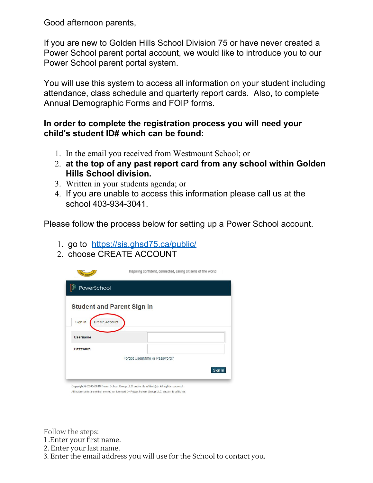Good afternoon parents,

If you are new to Golden Hills School Division 75 or have never created a Power School parent portal account, we would like to introduce you to our Power School parent portal system.

You will use this system to access all information on your student including attendance, class schedule and quarterly report cards. Also, to complete Annual Demographic Forms and FOIP forms.

## **In order to complete the registration process you will need your child's student ID# which can be found:**

- 1. In the email you received from Westmount School; or
- 2. **at the top of any past report card from any school within Golden Hills School division.**
- 3. Written in your students agenda; or
- 4. If you are unable to access this information please call us at the school 403-934-3041.

Please follow the process below for setting up a Power School account.

- 1. go to <https://sis.ghsd75.ca/public/>
- 2. choose CREATE ACCOUNT

|                                  | Inspiring confident, connected, caring citizens of the world                              |
|----------------------------------|-------------------------------------------------------------------------------------------|
| PowerSchool                      |                                                                                           |
| Sign In<br><b>Create Account</b> | <b>Student and Parent Sign In</b>                                                         |
| <b>Username</b>                  |                                                                                           |
| Password                         |                                                                                           |
|                                  | Forgot Username or Password?                                                              |
|                                  | Sign In                                                                                   |
|                                  | Copyright @ 2005-2018 PowerSchool Group LLC and/or its affiliate(s). All rights reserved. |

All trademarks are either owned or licensed by PowerSchool Group LLC and/or its affiliates

Follow the steps:

1 .Enter your first name.

2. Enter your last name.

3. Enter the email address you will use for the School to contact you.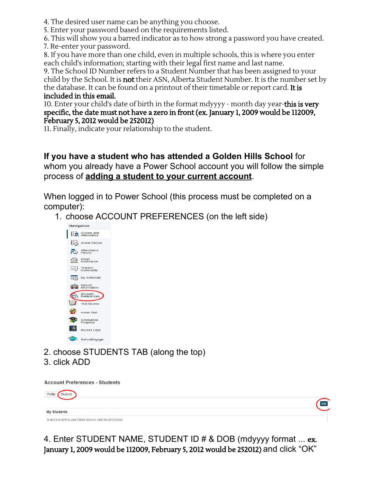4. The desired user name can be anything you choose.

5. Enter your password based on the requirements listed.

6. This will show you a barred indicator as to how strong a password you have created.

7. Re-enter your password.

8. If you have more than one child, even in multiple schools, this is where you enter each child's information; starting with their legal first name and last name.

9. The School ID Number refers to a Student Number that has been assigned to your child by the School. It is **not** their ASN, Alberta Student Number. It is the number set by the database. It can be found on a printout of their timetable or report card. It is included in this email.

10. Enter your child's date of birth in the format mdyyyy - month day year-this is very specific, the date must not have a zero in front (ex. January 1, 2009 would be 112009, February 5, 2012 would be 252012)

11. Finally, indicate your relationship to the student.

**If you have a student who has attended a Golden Hills School** for whom you already have a Power School account you will follow the simple process of **adding a student to your current account**.

When logged in to Power School (this process must be completed on a computer):

1. choose ACCOUNT PREFERENCES (on the left side)



- 2. choose STUDENTS TAB (along the top)
- 3. click ADD

**Account Preferences - Students** 

| Students<br>Profile                                            |     |
|----------------------------------------------------------------|-----|
|                                                                | Add |
| <b>My Students</b>                                             |     |
| To add a student to your Parent account, click the ADD button. |     |

4. Enter STUDENT NAME, STUDENT ID # & DOB (mdyyyy format ... ex. January 1, 2009 would be 112009, February 5, 2012 would be 252012) and click "OK"